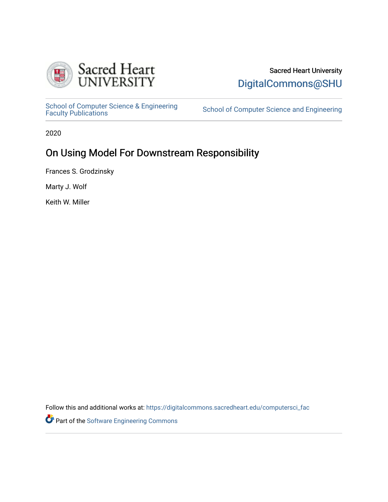

# Sacred Heart University [DigitalCommons@SHU](https://digitalcommons.sacredheart.edu/)

School of Computer Science & Engineering<br>Faculty Publications

School of Computer Science and Engineering

2020

# On Using Model For Downstream Responsibility

Frances S. Grodzinsky

Marty J. Wolf

Keith W. Miller

Follow this and additional works at: [https://digitalcommons.sacredheart.edu/computersci\\_fac](https://digitalcommons.sacredheart.edu/computersci_fac?utm_source=digitalcommons.sacredheart.edu%2Fcomputersci_fac%2F178&utm_medium=PDF&utm_campaign=PDFCoverPages) 

Part of the [Software Engineering Commons](http://network.bepress.com/hgg/discipline/150?utm_source=digitalcommons.sacredheart.edu%2Fcomputersci_fac%2F178&utm_medium=PDF&utm_campaign=PDFCoverPages)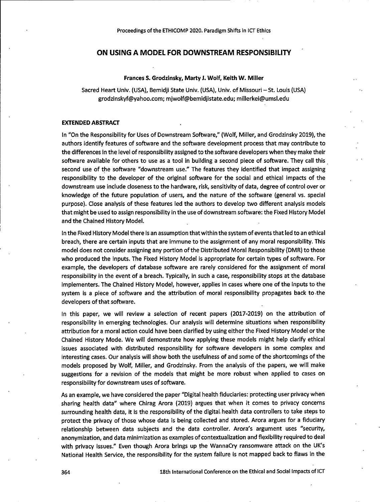### **ON USING A MODEL FOR DOWNSTREAM RESPONSIBILITY**

### **Frances S. Grodzinsky, Marty J. Wolf, Keith W. Miller**

Sacred Heart Univ. (USA), Bemidji State Univ. (USA), Univ. of Missouri - St. Louis (USA) [grodzinskyf@yahoo.com](mailto:grodzinskyf@yahoo.com); [mjwolf@bemidjistate.edu](mailto:mjwolf@bemidjistate.edu); [millerkei@umsl.edu](mailto:millerkei@umsl.edu)

#### **EXTENDED ABSTRACT**

In "On the Responsibility for Uses of Downstream Software," (Wolf, Miller, and Grodzinsky 2019), the authors identify features of software and the software development process that may contribute to the differences in the level of responsibility assigned to the software developers when they make their software available for others to use as a tool in building <sup>a</sup> second piece of software. They call this second use of the software "downstream use." The features they identified that impact assigning responsibility to the developer of the original software for the social and ethical impacts of the downstream use include closeness to the hardware, risk, sensitivity of data, degree of control over or knowledge of the future population of users, and the nature of the software (general vs. special purpose). Close analysis of these features led the authors to develop two different analysis models that might be used to assign responsibility in the use of downstream software: the Fixed History Model and the Chained History Model.

In the Fixed History Model there is an assumption thatwithin the system of events that led to an ethical breach, there are certain inputs that are immune to the assignment of any moral responsibility. This model does not consider assigning any portion of the Distributed Moral Responsibility (DMR) to those who produced the inputs. The Fixed History Model is appropriate for certain types of software. For example, the developers of database software are rarely considered for the assignment of moral responsibility in the event of a breach. Typically, in such <sup>a</sup> case, responsibility stops at the database implementers. The Chained History Model, however, applies in cases where one of the inputs to the system is a piece of software and the attribution of moral responsibility propagates back to-the developers of that software.

In this paper, we will review a selection of recent papers (2017-2019) on the attribution of responsibility in emerging technologies. Our analysis will determine situations when responsibility attribution for a moral action could have been clarified by using either the Fixed History Model orthe Chained History Mode. We will demonstrate how applying these models might help clarify ethical issues associated with distributed responsibility for software developers in some complex and interesting cases. Our analysis will show both the usefulness of and some of the shortcomings of the models proposed by Wolf, Miller, and Grodzinsky. From the analysis of the papers, we will make suggestions for a revision of the models that might be more robust when applied to cases on responsibility for downstream uses of software.

As an example, we have considered the paper "Digital health fiduciaries: protecting user privacy when sharing health data" where Chirag Arora (2019) argues that when it comes to privacy concerns surrounding health data, it is the responsibility of the digital, health data controllers to take steps to protect the privacy of those whose data is being collected and stored. Arora argues for a fiduciary relationship between data subjects and the data controller. Arora's argument uses "security, anonymization, and data minimization as examples of contextualization and flexibility required to deal with privacy issues." Even though Arora brings up the WannaCry ransomware attack on the UK's National Health Service, the responsibility for the system failure is not mapped back to flaws in the